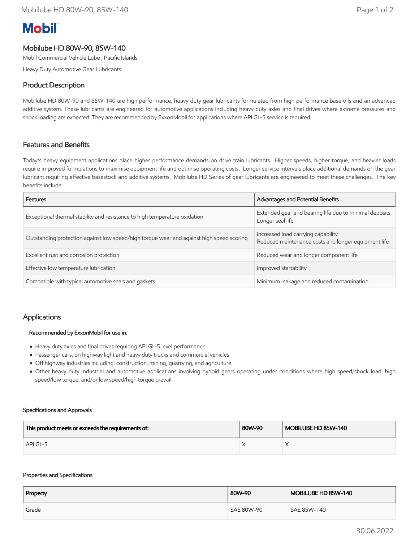# **Mobil**

# Mobilube HD 80W-90, 85W-140

Mobil Commercial Vehicle Lube , Pacific Islands

Heavy Duty Automotive Gear Lubricants

# Product Description

Mobilube HD 80W-90 and 85W-140 are high performance, heavy duty gear lubricants formulated from high performance base oils and an advanced additive system. These lubricants are engineered for automotive applications including heavy duty axles and final drives where extreme pressures and shock loading are expected. They are recommended by ExxonMobil for applications where API GL-5 service is required.

## Features and Benefits

Today's heavy equipment applications place higher performance demands on drive train lubricants. Higher speeds, higher torque, and heavier loads require improved formulations to maximise equipment life and optimise operating costs. Longer service intervals place additional demands on the gear lubricant requiring effective basestock and additive systems. Mobilube HD Series of gear lubricants are engineered to meet these challenges. The key benefits include:

| Features                                                                                 | Advantages and Potential Benefits                                                         |  |
|------------------------------------------------------------------------------------------|-------------------------------------------------------------------------------------------|--|
| Exceptional thermal stability and resistance to high temperature oxidation               | Extended gear and bearing life due to minimal deposits<br>Longer seal life                |  |
| Outstanding protection against low speed/high torque wear and against high speed scoring | Increased load carrying capability<br>Reduced maintenance costs and longer equipment life |  |
| Excellent rust and corrosion protection                                                  | Reduced wear and longer component life                                                    |  |
| Effective low temperature lubrication                                                    | Improved startability                                                                     |  |
| Compatible with typical automotive seals and gaskets                                     | Minimum leakage and reduced contamination                                                 |  |

### Applications

#### Recommended by ExxonMobil for use in:

- Heavy duty axles and final drives requiring API GL-5 level performance
- Passenger cars, on highway light and heavy duty trucks and commercial vehicles
- Off highway industries including: construction, mining, quarrying, and agriculture
- Other heavy duty industrial and automotive applications involving hypoid gears operating under conditions where high speed/shock load, high speed/low torque, and/or low speed/high torque prevail

#### Specifications and Approvals

| This product meets or exceeds the requirements of: | 80W-90 | MOBILUBE HD 85W-140 |
|----------------------------------------------------|--------|---------------------|
| API GL-5                                           |        |                     |

#### Properties and Specifications

| Property | 80W-90     | MOBILUBE HD 85W-140 |
|----------|------------|---------------------|
| Grade    | SAE 80W-90 | SAE 85W-140         |